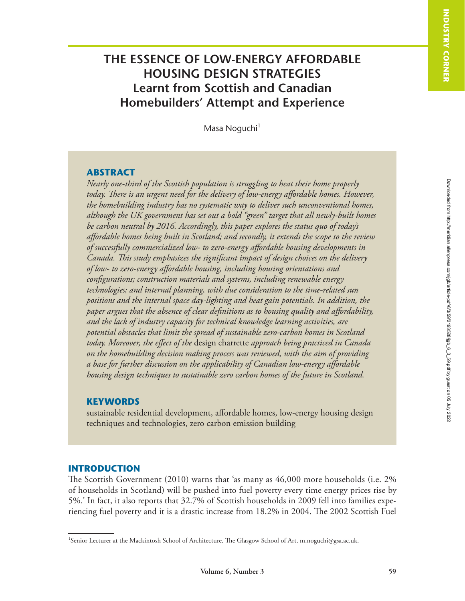# **THE ESSENCE OF LOW-ENERGY AFFORDABLE HOUSING DESIGN STRATEGIES Learnt from Scottish and Canadian Homebuilders' Attempt and Experience**

Masa Noguchi<sup>1</sup>

## **ABSTRACT**

*Nearly one-third of the Scottish population is struggling to heat their home properly today. There is an urgent need for the delivery of low-energy affordable homes. However, the homebuilding industry has no systematic way to deliver such unconventional homes, although the UK government has set out a bold "green" target that all newly-built homes be carbon neutral by 2016. Accordingly, this paper explores the status quo of today's affordable homes being built in Scotland; and secondly, it extends the scope to the review of successfully commercialized low- to zero-energy affordable housing developments in Canada. This study emphasizes the significant impact of design choices on the delivery of low- to zero-energy affordable housing, including housing orientations and configurations; construction materials and systems, including renewable energy technologies; and internal planning, with due consideration to the time-related sun positions and the internal space day-lighting and heat gain potentials. In addition, the paper argues that the absence of clear definitions as to housing quality and affordability, and the lack of industry capacity for technical knowledge learning activities, are potential obstacles that limit the spread of sustainable zero-carbon homes in Scotland today. Moreover, the effect of the* design charrette *approach being practiced in Canada on the homebuilding decision making process was reviewed, with the aim of providing a base for further discussion on the applicability of Canadian low-energy affordable housing design techniques to sustainable zero carbon homes of the future in Scotland.*

## **KEYWORDS**

sustainable residential development, affordable homes, low-energy housing design techniques and technologies, zero carbon emission building

## **INTRODUCTION**

The Scottish Government (2010) warns that 'as many as 46,000 more households (i.e. 2% of households in Scotland) will be pushed into fuel poverty every time energy prices rise by 5%.' In fact, it also reports that 32.7% of Scottish households in 2009 fell into families experiencing fuel poverty and it is a drastic increase from 18.2% in 2004. The 2002 Scottish Fuel

<sup>1</sup> Senior Lecturer at the Mackintosh School of Architecture, The Glasgow School of Art, m.noguchi@gsa.ac.uk.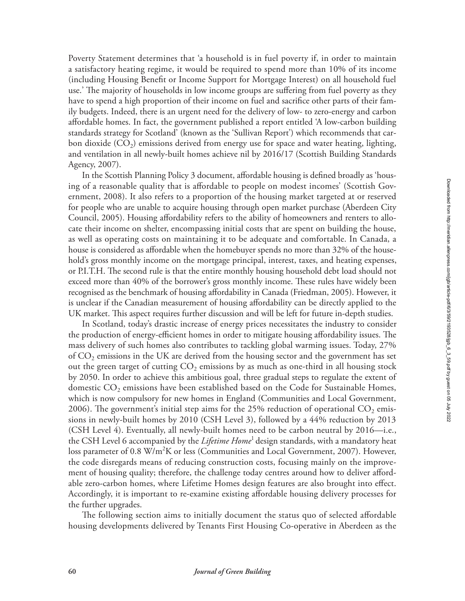Poverty Statement determines that 'a household is in fuel poverty if, in order to maintain a satisfactory heating regime, it would be required to spend more than 10% of its income (including Housing Benefit or Income Support for Mortgage Interest) on all household fuel use.' The majority of households in low income groups are suffering from fuel poverty as they have to spend a high proportion of their income on fuel and sacrifice other parts of their family budgets. Indeed, there is an urgent need for the delivery of low- to zero-energy and carbon affordable homes. In fact, the government published a report entitled 'A low-carbon building standards strategy for Scotland' (known as the 'Sullivan Report') which recommends that carbon dioxide  $(CO<sub>2</sub>)$  emissions derived from energy use for space and water heating, lighting, and ventilation in all newly-built homes achieve nil by 2016/17 (Scottish Building Standards Agency, 2007).

In the Scottish Planning Policy 3 document, affordable housing is defined broadly as 'housing of a reasonable quality that is affordable to people on modest incomes' (Scottish Government, 2008). It also refers to a proportion of the housing market targeted at or reserved for people who are unable to acquire housing through open market purchase (Aberdeen City Council, 2005). Housing affordability refers to the ability of homeowners and renters to allocate their income on shelter, encompassing initial costs that are spent on building the house, as well as operating costs on maintaining it to be adequate and comfortable. In Canada, a house is considered as affordable when the homebuyer spends no more than 32% of the household's gross monthly income on the mortgage principal, interest, taxes, and heating expenses, or P.I.T.H. The second rule is that the entire monthly housing household debt load should not exceed more than 40% of the borrower's gross monthly income. These rules have widely been recognised as the benchmark of housing affordability in Canada (Friedman, 2005). However, it is unclear if the Canadian measurement of housing affordability can be directly applied to the UK market. This aspect requires further discussion and will be left for future in-depth studies.

In Scotland, today's drastic increase of energy prices necessitates the industry to consider the production of energy-efficient homes in order to mitigate housing affordability issues. The mass delivery of such homes also contributes to tackling global warming issues. Today, 27% of  $CO<sub>2</sub>$  emissions in the UK are derived from the housing sector and the government has set out the green target of cutting  $CO_2$  emissions by as much as one-third in all housing stock by 2050. In order to achieve this ambitious goal, three gradual steps to regulate the extent of domestic  $CO<sub>2</sub>$  emissions have been established based on the Code for Sustainable Homes, which is now compulsory for new homes in England (Communities and Local Government, 2006). The government's initial step aims for the 25% reduction of operational  $CO_2$  emissions in newly-built homes by 2010 (CSH Level 3), followed by a 44% reduction by 2013 (CSH Level 4). Eventually, all newly-built homes need to be carbon neutral by 2016—i.e., the CSH Level 6 accompanied by the *Lifetime Home*1 design standards, with a mandatory heat loss parameter of  $0.8 \text{ W/m}^2\text{K}$  or less (Communities and Local Government, 2007). However, the code disregards means of reducing construction costs, focusing mainly on the improvement of housing quality; therefore, the challenge today centres around how to deliver affordable zero-carbon homes, where Lifetime Homes design features are also brought into effect. Accordingly, it is important to re-examine existing affordable housing delivery processes for the further upgrades.

The following section aims to initially document the status quo of selected affordable housing developments delivered by Tenants First Housing Co-operative in Aberdeen as the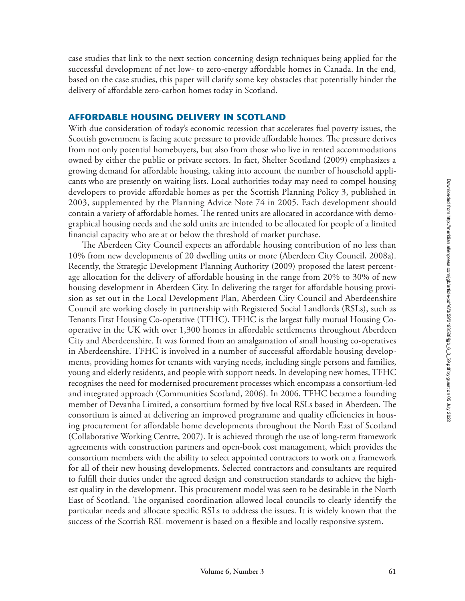case studies that link to the next section concerning design techniques being applied for the successful development of net low- to zero-energy affordable homes in Canada. In the end, based on the case studies, this paper will clarify some key obstacles that potentially hinder the delivery of affordable zero-carbon homes today in Scotland.

## **AFFORDABLE HOUSING DELIVERY IN SCOTLAND**

With due consideration of today's economic recession that accelerates fuel poverty issues, the Scottish government is facing acute pressure to provide affordable homes. The pressure derives from not only potential homebuyers, but also from those who live in rented accommodations owned by either the public or private sectors. In fact, Shelter Scotland (2009) emphasizes a growing demand for affordable housing, taking into account the number of household applicants who are presently on waiting lists. Local authorities today may need to compel housing developers to provide affordable homes as per the Scottish Planning Policy 3, published in 2003, supplemented by the Planning Advice Note 74 in 2005. Each development should contain a variety of affordable homes. The rented units are allocated in accordance with demographical housing needs and the sold units are intended to be allocated for people of a limited financial capacity who are at or below the threshold of market purchase.

The Aberdeen City Council expects an affordable housing contribution of no less than 10% from new developments of 20 dwelling units or more (Aberdeen City Council, 2008a). Recently, the Strategic Development Planning Authority (2009) proposed the latest percentage allocation for the delivery of affordable housing in the range from 20% to 30% of new housing development in Aberdeen City. In delivering the target for affordable housing provision as set out in the Local Development Plan, Aberdeen City Council and Aberdeenshire Council are working closely in partnership with Registered Social Landlords (RSLs), such as Tenants First Housing Co-operative (TFHC). TFHC is the largest fully mutual Housing Cooperative in the UK with over 1,300 homes in affordable settlements throughout Aberdeen City and Aberdeenshire. It was formed from an amalgamation of small housing co-operatives in Aberdeenshire. TFHC is involved in a number of successful affordable housing developments, providing homes for tenants with varying needs, including single persons and families, young and elderly residents, and people with support needs. In developing new homes, TFHC recognises the need for modernised procurement processes which encompass a consortium-led and integrated approach (Communities Scotland, 2006). In 2006, TFHC became a founding member of Devanha Limited, a consortium formed by five local RSLs based in Aberdeen. The consortium is aimed at delivering an improved programme and quality efficiencies in housing procurement for affordable home developments throughout the North East of Scotland (Collaborative Working Centre, 2007). It is achieved through the use of long-term framework agreements with construction partners and open-book cost management, which provides the consortium members with the ability to select appointed contractors to work on a framework for all of their new housing developments. Selected contractors and consultants are required to fulfill their duties under the agreed design and construction standards to achieve the highest quality in the development. This procurement model was seen to be desirable in the North East of Scotland. The organised coordination allowed local councils to clearly identify the particular needs and allocate specific RSLs to address the issues. It is widely known that the success of the Scottish RSL movement is based on a flexible and locally responsive system.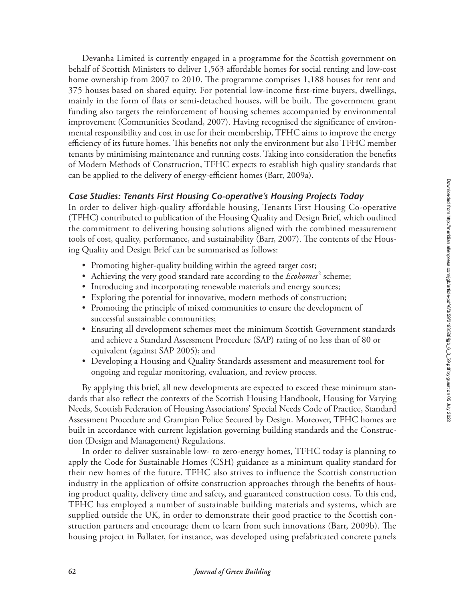Devanha Limited is currently engaged in a programme for the Scottish government on behalf of Scottish Ministers to deliver 1,563 affordable homes for social renting and low-cost home ownership from 2007 to 2010. The programme comprises 1,188 houses for rent and 375 houses based on shared equity. For potential low-income first-time buyers, dwellings, mainly in the form of flats or semi-detached houses, will be built. The government grant funding also targets the reinforcement of housing schemes accompanied by environmental improvement (Communities Scotland, 2007). Having recognised the significance of environmental responsibility and cost in use for their membership, TFHC aims to improve the energy efficiency of its future homes. This benefits not only the environment but also TFHC member tenants by minimising maintenance and running costs. Taking into consideration the benefits of Modern Methods of Construction, TFHC expects to establish high quality standards that can be applied to the delivery of energy-efficient homes (Barr, 2009a).

## *Case Studies: Tenants First Housing Co-operative's Housing Projects Today*

In order to deliver high-quality affordable housing, Tenants First Housing Co-operative (TFHC) contributed to publication of the Housing Quality and Design Brief, which outlined the commitment to delivering housing solutions aligned with the combined measurement tools of cost, quality, performance, and sustainability (Barr, 2007). The contents of the Housing Quality and Design Brief can be summarised as follows:

- Promoting higher-quality building within the agreed target cost;
- Achieving the very good standard rate according to the *Ecohomes*<sup>2</sup> scheme;
- Introducing and incorporating renewable materials and energy sources;
- Exploring the potential for innovative, modern methods of construction;
- Promoting the principle of mixed communities to ensure the development of successful sustainable communities;
- Ensuring all development schemes meet the minimum Scottish Government standards and achieve a Standard Assessment Procedure (SAP) rating of no less than of 80 or equivalent (against SAP 2005); and
- Developing a Housing and Quality Standards assessment and measurement tool for ongoing and regular monitoring, evaluation, and review process.

By applying this brief, all new developments are expected to exceed these minimum standards that also reflect the contexts of the Scottish Housing Handbook, Housing for Varying Needs, Scottish Federation of Housing Associations' Special Needs Code of Practice, Standard Assessment Procedure and Grampian Police Secured by Design. Moreover, TFHC homes are built in accordance with current legislation governing building standards and the Construction (Design and Management) Regulations.

In order to deliver sustainable low- to zero-energy homes, TFHC today is planning to apply the Code for Sustainable Homes (CSH) guidance as a minimum quality standard for their new homes of the future. TFHC also strives to influence the Scottish construction industry in the application of offsite construction approaches through the benefits of housing product quality, delivery time and safety, and guaranteed construction costs. To this end, TFHC has employed a number of sustainable building materials and systems, which are supplied outside the UK, in order to demonstrate their good practice to the Scottish construction partners and encourage them to learn from such innovations (Barr, 2009b). The housing project in Ballater, for instance, was developed using prefabricated concrete panels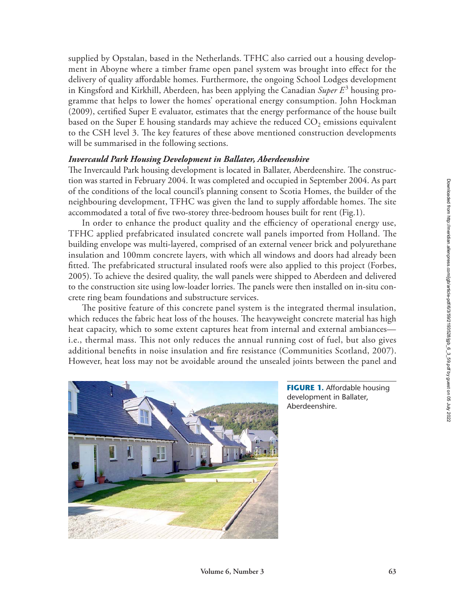supplied by Opstalan, based in the Netherlands. TFHC also carried out a housing development in Aboyne where a timber frame open panel system was brought into effect for the delivery of quality affordable homes. Furthermore, the ongoing School Lodges development in Kingsford and Kirkhill, Aberdeen, has been applying the Canadian *Super E*<sup>3</sup> housing programme that helps to lower the homes' operational energy consumption. John Hockman (2009), certified Super E evaluator, estimates that the energy performance of the house built based on the Super E housing standards may achieve the reduced  $CO<sub>2</sub>$  emissions equivalent to the CSH level 3. The key features of these above mentioned construction developments will be summarised in the following sections.

## *Invercauld Park Housing Development in Ballater, Aberdeenshire*

The Invercauld Park housing development is located in Ballater, Aberdeenshire. The construction was started in February 2004. It was completed and occupied in September 2004. As part of the conditions of the local council's planning consent to Scotia Homes, the builder of the neighbouring development, TFHC was given the land to supply affordable homes. The site accommodated a total of five two-storey three-bedroom houses built for rent (Fig.1).

In order to enhance the product quality and the efficiency of operational energy use, TFHC applied prefabricated insulated concrete wall panels imported from Holland. The building envelope was multi-layered, comprised of an external veneer brick and polyurethane insulation and 100mm concrete layers, with which all windows and doors had already been fitted. The prefabricated structural insulated roofs were also applied to this project (Forbes, 2005). To achieve the desired quality, the wall panels were shipped to Aberdeen and delivered to the construction site using low-loader lorries. The panels were then installed on in-situ concrete ring beam foundations and substructure services.

The positive feature of this concrete panel system is the integrated thermal insulation, which reduces the fabric heat loss of the houses. The heavyweight concrete material has high heat capacity, which to some extent captures heat from internal and external ambiances i.e., thermal mass. This not only reduces the annual running cost of fuel, but also gives additional benefits in noise insulation and fire resistance (Communities Scotland, 2007). However, heat loss may not be avoidable around the unsealed joints between the panel and



**FIGURE 1.** Affordable housing development in Ballater, Aberdeenshire.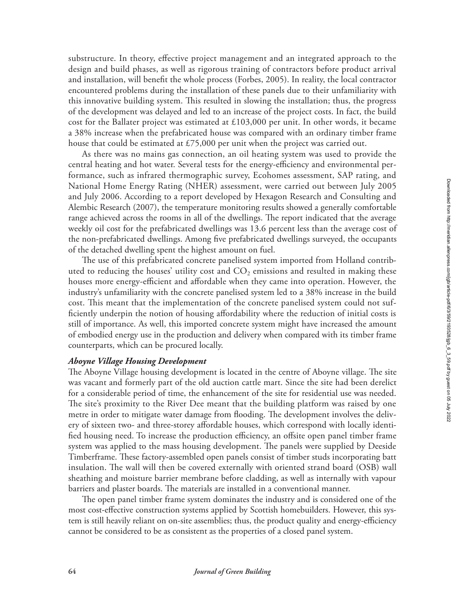substructure. In theory, effective project management and an integrated approach to the design and build phases, as well as rigorous training of contractors before product arrival and installation, will benefit the whole process (Forbes, 2005). In reality, the local contractor encountered problems during the installation of these panels due to their unfamiliarity with this innovative building system. This resulted in slowing the installation; thus, the progress of the development was delayed and led to an increase of the project costs. In fact, the build cost for the Ballater project was estimated at £103,000 per unit. In other words, it became a 38% increase when the prefabricated house was compared with an ordinary timber frame house that could be estimated at £75,000 per unit when the project was carried out.

As there was no mains gas connection, an oil heating system was used to provide the central heating and hot water. Several tests for the energy-efficiency and environmental performance, such as infrared thermographic survey, Ecohomes assessment, SAP rating, and National Home Energy Rating (NHER) assessment, were carried out between July 2005 and July 2006. According to a report developed by Hexagon Research and Consulting and Alembic Research (2007), the temperature monitoring results showed a generally comfortable range achieved across the rooms in all of the dwellings. The report indicated that the average weekly oil cost for the prefabricated dwellings was 13.6 percent less than the average cost of the non-prefabricated dwellings. Among five prefabricated dwellings surveyed, the occupants of the detached dwelling spent the highest amount on fuel.

The use of this prefabricated concrete panelised system imported from Holland contributed to reducing the houses' utility cost and  $CO<sub>2</sub>$  emissions and resulted in making these houses more energy-efficient and affordable when they came into operation. However, the industry's unfamiliarity with the concrete panelised system led to a 38% increase in the build cost. This meant that the implementation of the concrete panelised system could not sufficiently underpin the notion of housing affordability where the reduction of initial costs is still of importance. As well, this imported concrete system might have increased the amount of embodied energy use in the production and delivery when compared with its timber frame counterparts, which can be procured locally.

## *Aboyne Village Housing Development*

The Aboyne Village housing development is located in the centre of Aboyne village. The site was vacant and formerly part of the old auction cattle mart. Since the site had been derelict for a considerable period of time, the enhancement of the site for residential use was needed. The site's proximity to the River Dee meant that the building platform was raised by one metre in order to mitigate water damage from flooding. The development involves the delivery of sixteen two- and three-storey affordable houses, which correspond with locally identified housing need. To increase the production efficiency, an offsite open panel timber frame system was applied to the mass housing development. The panels were supplied by Deeside Timberframe. These factory-assembled open panels consist of timber studs incorporating batt insulation. The wall will then be covered externally with oriented strand board (OSB) wall sheathing and moisture barrier membrane before cladding, as well as internally with vapour barriers and plaster boards. The materials are installed in a conventional manner.

The open panel timber frame system dominates the industry and is considered one of the most cost-effective construction systems applied by Scottish homebuilders. However, this system is still heavily reliant on on-site assemblies; thus, the product quality and energy-efficiency cannot be considered to be as consistent as the properties of a closed panel system.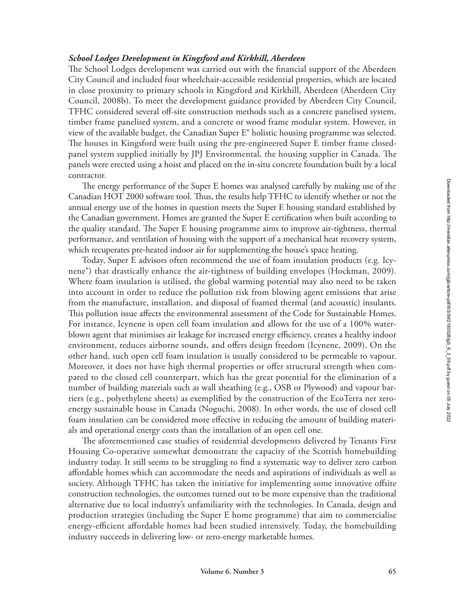Downloaded from http://meridian.allenpress.com/jgb/article-pdf/6/3/59/2193528/jgb\_6\_3\_59.pdf by guest on 05 July 2022

## *School Lodges Development in Kingsford and Kirkhill, Aberdeen*

The School Lodges development was carried out with the financial support of the Aberdeen City Council and included four wheelchair-accessible residential properties, which are located in close proximity to primary schools in Kingsford and Kirkhill, Aberdeen (Aberdeen City Council, 2008b). To meet the development guidance provided by Aberdeen City Council, TFHC considered several off-site construction methods such as a concrete panelised system, timber frame panelised system, and a concrete or wood frame modular system. However, in view of the available budget, the Canadian Super E® holistic housing programme was selected. The houses in Kingsford were built using the pre-engineered Super E timber frame closedpanel system supplied initially by JPJ Environmental, the housing supplier in Canada. The panels were erected using a hoist and placed on the in-situ concrete foundation built by a local contractor.

The energy performance of the Super E homes was analysed carefully by making use of the Canadian HOT 2000 software tool. Thus, the results help TFHC to identify whether or not the annual energy use of the homes in question meets the Super E housing standard established by the Canadian government. Homes are granted the Super E certification when built according to the quality standard. The Super E housing programme aims to improve air-tightness, thermal performance, and ventilation of housing with the support of a mechanical heat recovery system, which recuperates pre-heated indoor air for supplementing the house's space heating.

Today, Super E advisors often recommend the use of foam insulation products (e.g. Icynene®) that drastically enhance the air-tightness of building envelopes (Hockman, 2009). Where foam insulation is utilised, the global warming potential may also need to be taken into account in order to reduce the pollution risk from blowing agent emissions that arise from the manufacture, installation, and disposal of foamed thermal (and acoustic) insulants. This pollution issue affects the environmental assessment of the Code for Sustainable Homes. For instance, Icynene is open cell foam insulation and allows for the use of a 100% waterblown agent that minimises air leakage for increased energy efficiency, creates a healthy indoor environment, reduces airborne sounds, and offers design freedom (Icynene, 2009). On the other hand, such open cell foam insulation is usually considered to be permeable to vapour. Moreover, it does not have high thermal properties or offer structural strength when compared to the closed cell counterpart, which has the great potential for the elimination of a number of building materials such as wall sheathing (e.g., OSB or Plywood) and vapour barriers (e.g., polyethylene sheets) as exemplified by the construction of the EcoTerra net zeroenergy sustainable house in Canada (Noguchi, 2008). In other words, the use of closed cell foam insulation can be considered more effective in reducing the amount of building materials and operational energy costs than the installation of an open cell one.

The aforementioned case studies of residential developments delivered by Tenants First Housing Co-operative somewhat demonstrate the capacity of the Scottish homebuilding industry today. It still seems to be struggling to find a systematic way to deliver zero carbon affordable homes which can accommodate the needs and aspirations of individuals as well as society. Although TFHC has taken the initiative for implementing some innovative offsite construction technologies, the outcomes turned out to be more expensive than the traditional alternative due to local industry's unfamiliarity with the technologies. In Canada, design and production strategies (including the Super E home programme) that aim to commercialise energy-efficient affordable homes had been studied intensively. Today, the homebuilding industry succeeds in delivering low- or zero-energy marketable homes.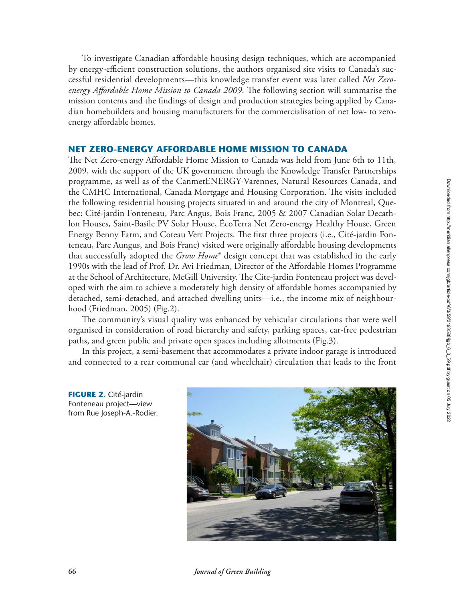To investigate Canadian affordable housing design techniques, which are accompanied by energy-efficient construction solutions, the authors organised site visits to Canada's successful residential developments—this knowledge transfer event was later called *Net Zeroenergy Affordable Home Mission to Canada 2009*. The following section will summarise the mission contents and the findings of design and production strategies being applied by Canadian homebuilders and housing manufacturers for the commercialisation of net low- to zeroenergy affordable homes.

#### **NET ZERO-ENERGY AFFORDABLE HOME MISSION TO CANADA**

The Net Zero-energy Affordable Home Mission to Canada was held from June 6th to 11th, 2009, with the support of the UK government through the Knowledge Transfer Partnerships programme, as well as of the CanmetENERGY-Varennes, Natural Resources Canada, and the CMHC International, Canada Mortgage and Housing Corporation. The visits included the following residential housing projects situated in and around the city of Montreal, Quebec: Cité-jardin Fonteneau, Parc Angus, Bois Franc, 2005 & 2007 Canadian Solar Decathlon Houses, Saint-Basile PV Solar House, ÉcoTerra Net Zero-energy Healthy House, Green Energy Benny Farm, and Coteau Vert Projects. The first three projects (i.e., Cité-jardin Fonteneau, Parc Aungus, and Bois Franc) visited were originally affordable housing developments that successfully adopted the *Grow Home*® design concept that was established in the early 1990s with the lead of Prof. Dr. Avi Friedman, Director of the Affordable Homes Programme at the School of Architecture, McGill University. The Cite-jardin Fonteneau project was developed with the aim to achieve a moderately high density of affordable homes accompanied by detached, semi-detached, and attached dwelling units—i.e., the income mix of neighbourhood (Friedman, 2005) (Fig.2).

The community's visual quality was enhanced by vehicular circulations that were well organised in consideration of road hierarchy and safety, parking spaces, car-free pedestrian paths, and green public and private open spaces including allotments (Fig.3).

In this project, a semi-basement that accommodates a private indoor garage is introduced and connected to a rear communal car (and wheelchair) circulation that leads to the front

**FIGURE 2.** Cité-jardin Fonteneau project—view from Rue Joseph-A.-Rodier.



**66** *Journal of Green Building*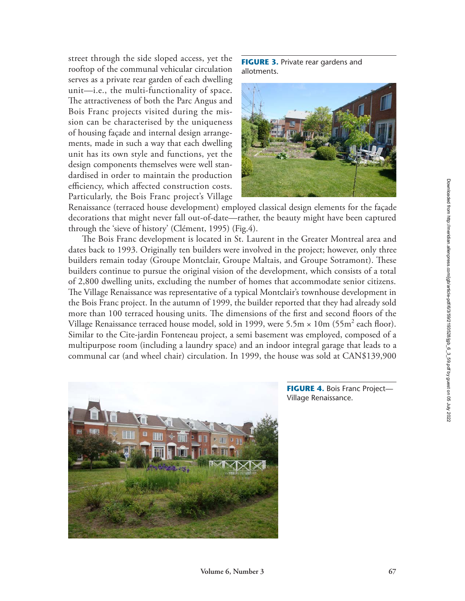street through the side sloped access, yet the rooftop of the communal vehicular circulation serves as a private rear garden of each dwelling unit—i.e., the multi-functionality of space. The attractiveness of both the Parc Angus and Bois Franc projects visited during the mission can be characterised by the uniqueness of housing façade and internal design arrangements, made in such a way that each dwelling unit has its own style and functions, yet the design components themselves were well standardised in order to maintain the production efficiency, which affected construction costs. Particularly, the Bois Franc project's Village

**FIGURE 3.** Private rear gardens and allotments.



Renaissance (terraced house development) employed classical design elements for the façade decorations that might never fall out-of-date—rather, the beauty might have been captured through the 'sieve of history' (Clément, 1995) (Fig.4).

The Bois Franc development is located in St. Laurent in the Greater Montreal area and dates back to 1993. Originally ten builders were involved in the project; however, only three builders remain today (Groupe Montclair, Groupe Maltais, and Groupe Sotramont). These builders continue to pursue the original vision of the development, which consists of a total of 2,800 dwelling units, excluding the number of homes that accommodate senior citizens. The Village Renaissance was representative of a typical Montclair's townhouse development in the Bois Franc project. In the autumn of 1999, the builder reported that they had already sold more than 100 terraced housing units. The dimensions of the first and second floors of the Village Renaissance terraced house model, sold in 1999, were 5.5 $\text{m} \times 10 \text{m}$  (55 $\text{m}^2$  each floor). Similar to the Cite-jardin Fonteneau project, a semi basement was employed, composed of a multipurpose room (including a laundry space) and an indoor integral garage that leads to a communal car (and wheel chair) circulation. In 1999, the house was sold at CAN\$139,900



**FIGURE 4.** Bois Franc Project— Village Renaissance.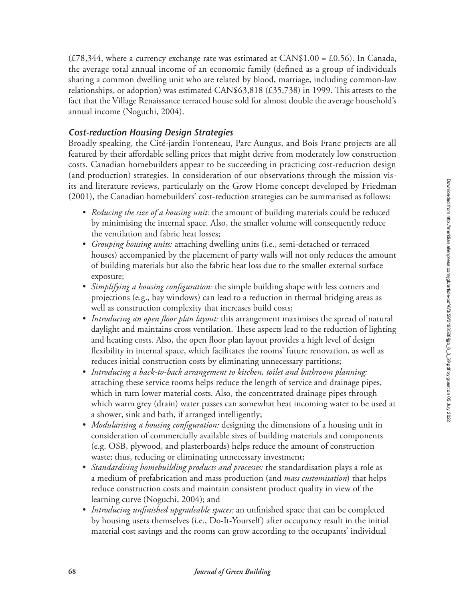(£78,344, where a currency exchange rate was estimated at CAN\$1.00 = £0.56). In Canada, the average total annual income of an economic family (defined as a group of individuals sharing a common dwelling unit who are related by blood, marriage, including common-law relationships, or adoption) was estimated CAN\$63,818 (£35,738) in 1999. This attests to the fact that the Village Renaissance terraced house sold for almost double the average household's annual income (Noguchi, 2004).

## *Cost-reduction Housing Design Strategies*

Broadly speaking, the Cité-jardin Fonteneau, Parc Aungus, and Bois Franc projects are all featured by their affordable selling prices that might derive from moderately low construction costs. Canadian homebuilders appear to be succeeding in practicing cost-reduction design (and production) strategies. In consideration of our observations through the mission visits and literature reviews, particularly on the Grow Home concept developed by Friedman (2001), the Canadian homebuilders' cost-reduction strategies can be summarised as follows:

- *• Reducing the size of a housing unit:* the amount of building materials could be reduced by minimising the internal space. Also, the smaller volume will consequently reduce the ventilation and fabric heat losses;
- *• Grouping housing units:* attaching dwelling units (i.e., semi-detached or terraced houses) accompanied by the placement of party walls will not only reduces the amount of building materials but also the fabric heat loss due to the smaller external surface exposure;
- *• Simplifying a housing configuration:* the simple building shape with less corners and projections (e.g., bay windows) can lead to a reduction in thermal bridging areas as well as construction complexity that increases build costs;
- *• Introducing an open floor plan layout:* this arrangement maximises the spread of natural daylight and maintains cross ventilation. These aspects lead to the reduction of lighting and heating costs. Also, the open floor plan layout provides a high level of design flexibility in internal space, which facilitates the rooms' future renovation, as well as reduces initial construction costs by eliminating unnecessary partitions;
- *• Introducing a back-to-back arrangement to kitchen, toilet and bathroom planning:* attaching these service rooms helps reduce the length of service and drainage pipes, which in turn lower material costs. Also, the concentrated drainage pipes through which warm grey (drain) water passes can somewhat heat incoming water to be used at a shower, sink and bath, if arranged intelligently;
- *• Modularising a housing configuration:* designing the dimensions of a housing unit in consideration of commercially available sizes of building materials and components (e.g. OSB, plywood, and plasterboards) helps reduce the amount of construction waste; thus, reducing or eliminating unnecessary investment;
- *• Standardising homebuilding products and processes:* the standardisation plays a role as a medium of prefabrication and mass production (and *mass customisation*) that helps reduce construction costs and maintain consistent product quality in view of the learning curve (Noguchi, 2004); and
- *• Introducing unfinished upgradeable spaces:* an unfinished space that can be completed by housing users themselves (i.e., Do-It-Yourself) after occupancy result in the initial material cost savings and the rooms can grow according to the occupants' individual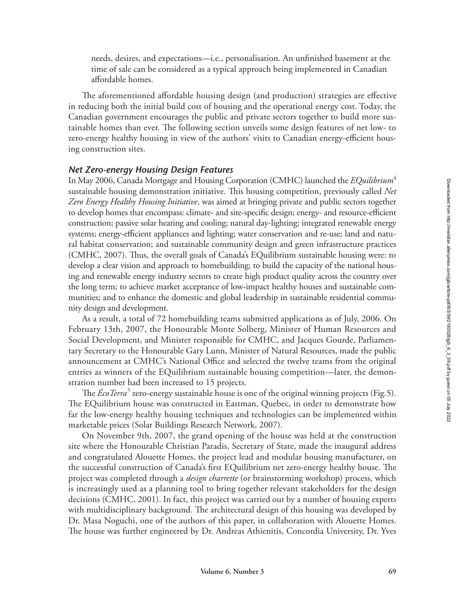needs, desires, and expectations—i.e., personalisation. An unfinished basement at the time of sale can be considered as a typical approach being implemented in Canadian affordable homes.

The aforementioned affordable housing design (and production) strategies are effective in reducing both the initial build cost of housing and the operational energy cost. Today, the Canadian government encourages the public and private sectors together to build more sustainable homes than ever. The following section unveils some design features of net low- to zero-energy healthy housing in view of the authors' visits to Canadian energy-efficient housing construction sites.

## *Net Zero-energy Housing Design Features*

In May 2006, Canada Mortgage and Housing Corporation (CMHC) launched the *EQuilibrium*<sup>4</sup> sustainable housing demonstration initiative. This housing competition, previously called *Net Zero Energy Healthy Housing Initiative*, was aimed at bringing private and public sectors together to develop homes that encompass: climate- and site-specific design; energy- and resource-efficient construction; passive solar heating and cooling; natural day-lighting; integrated renewable energy systems; energy-efficient appliances and lighting; water conservation and re-use; land and natural habitat conservation; and sustainable community design and green infrastructure practices (CMHC, 2007). Thus, the overall goals of Canada's EQuilibrium sustainable housing were: to develop a clear vision and approach to homebuilding; to build the capacity of the national housing and renewable energy industry sectors to create high product quality across the country over the long term; to achieve market acceptance of low-impact healthy houses and sustainable communities; and to enhance the domestic and global leadership in sustainable residential community design and development.

As a result, a total of 72 homebuilding teams submitted applications as of July, 2006. On February 13th, 2007, the Honourable Monte Solberg, Minister of Human Resources and Social Development, and Minister responsible for CMHC, and Jacques Gourde, Parliamentary Secretary to the Honourable Gary Lunn, Minister of Natural Resources, made the public announcement at CMHC's National Office and selected the twelve teams from the original entries as winners of the EQuilibrium sustainable housing competition—later, the demonstration number had been increased to 15 projects.

The *ÉcoTerra<sup>5</sup>* zero-energy sustainable house is one of the original winning projects (Fig.5). The EQuilibrium house was constructed in Eastman, Quebec, in order to demonstrate how far the low-energy healthy housing techniques and technologies can be implemented within marketable prices (Solar Buildings Research Network, 2007).

On November 9th, 2007, the grand opening of the house was held at the construction site where the Honourable Christian Paradis, Secretary of State, made the inaugural address and congratulated Alouette Homes, the project lead and modular housing manufacturer, on the successful construction of Canada's first EQuilibrium net zero-energy healthy house. The project was completed through a *design charrette* (or brainstorming workshop) process, which is increasingly used as a planning tool to bring together relevant stakeholders for the design decisions (CMHC, 2001). In fact, this project was carried out by a number of housing experts with multidisciplinary background. The architectural design of this housing was developed by Dr. Masa Noguchi, one of the authors of this paper, in collaboration with Alouette Homes. The house was further engineered by Dr. Andreas Athienitis, Concordia University, Dr. Yves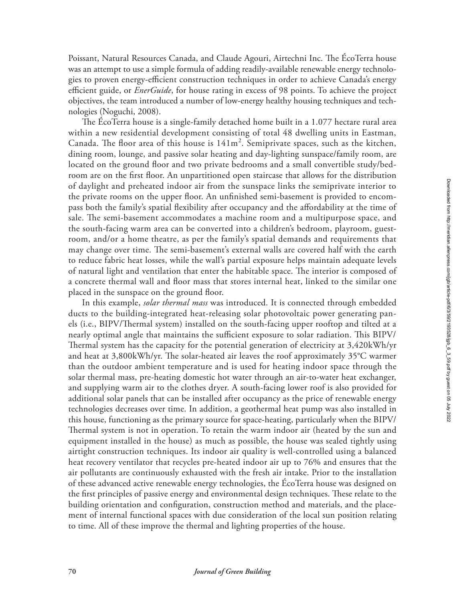Poissant, Natural Resources Canada, and Claude Agouri, Airtechni Inc. The ÉcoTerra house was an attempt to use a simple formula of adding readily-available renewable energy technologies to proven energy-efficient construction techniques in order to achieve Canada's energy efficient guide, or *EnerGuide*, for house rating in excess of 98 points. To achieve the project objectives, the team introduced a number of low-energy healthy housing techniques and technologies (Noguchi, 2008).

The ÉcoTerra house is a single-family detached home built in a 1.077 hectare rural area within a new residential development consisting of total 48 dwelling units in Eastman, Canada. The floor area of this house is  $141m^2$ . Semiprivate spaces, such as the kitchen, dining room, lounge, and passive solar heating and day-lighting sunspace/family room, are located on the ground floor and two private bedrooms and a small convertible study/bedroom are on the first floor. An unpartitioned open staircase that allows for the distribution of daylight and preheated indoor air from the sunspace links the semiprivate interior to the private rooms on the upper floor. An unfinished semi-basement is provided to encompass both the family's spatial flexibility after occupancy and the affordability at the time of sale. The semi-basement accommodates a machine room and a multipurpose space, and the south-facing warm area can be converted into a children's bedroom, playroom, guestroom, and/or a home theatre, as per the family's spatial demands and requirements that may change over time. The semi-basement's external walls are covered half with the earth to reduce fabric heat losses, while the wall's partial exposure helps maintain adequate levels of natural light and ventilation that enter the habitable space. The interior is composed of a concrete thermal wall and floor mass that stores internal heat, linked to the similar one placed in the sunspace on the ground floor.

In this example, *solar thermal mass* was introduced. It is connected through embedded ducts to the building-integrated heat-releasing solar photovoltaic power generating panels (i.e., BIPV/Thermal system) installed on the south-facing upper rooftop and tilted at a nearly optimal angle that maintains the sufficient exposure to solar radiation. This BIPV/ Thermal system has the capacity for the potential generation of electricity at 3,420kWh/yr and heat at 3,800kWh/yr. The solar-heated air leaves the roof approximately 35°C warmer than the outdoor ambient temperature and is used for heating indoor space through the solar thermal mass, pre-heating domestic hot water through an air-to-water heat exchanger, and supplying warm air to the clothes dryer. A south-facing lower roof is also provided for additional solar panels that can be installed after occupancy as the price of renewable energy technologies decreases over time. In addition, a geothermal heat pump was also installed in this house, functioning as the primary source for space-heating, particularly when the BIPV/ Thermal system is not in operation. To retain the warm indoor air (heated by the sun and equipment installed in the house) as much as possible, the house was sealed tightly using airtight construction techniques. Its indoor air quality is well-controlled using a balanced heat recovery ventilator that recycles pre-heated indoor air up to 76% and ensures that the air pollutants are continuously exhausted with the fresh air intake. Prior to the installation of these advanced active renewable energy technologies, the ÉcoTerra house was designed on the first principles of passive energy and environmental design techniques. These relate to the building orientation and configuration, construction method and materials, and the placement of internal functional spaces with due consideration of the local sun position relating to time. All of these improve the thermal and lighting properties of the house.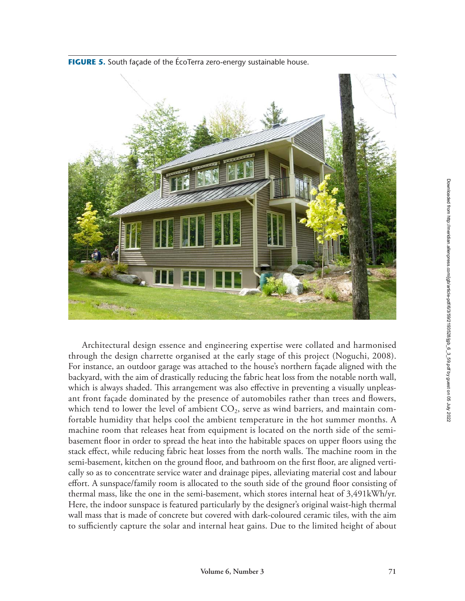

**FIGURE 5.** South façade of the ÉcoTerra zero-energy sustainable house.

Architectural design essence and engineering expertise were collated and harmonised through the design charrette organised at the early stage of this project (Noguchi, 2008). For instance, an outdoor garage was attached to the house's northern façade aligned with the backyard, with the aim of drastically reducing the fabric heat loss from the notable north wall, which is always shaded. This arrangement was also effective in preventing a visually unpleasant front façade dominated by the presence of automobiles rather than trees and flowers, which tend to lower the level of ambient  $CO_2$ , serve as wind barriers, and maintain comfortable humidity that helps cool the ambient temperature in the hot summer months. A machine room that releases heat from equipment is located on the north side of the semibasement floor in order to spread the heat into the habitable spaces on upper floors using the stack effect, while reducing fabric heat losses from the north walls. The machine room in the semi-basement, kitchen on the ground floor, and bathroom on the first floor, are aligned vertically so as to concentrate service water and drainage pipes, alleviating material cost and labour effort. A sunspace/family room is allocated to the south side of the ground floor consisting of thermal mass, like the one in the semi-basement, which stores internal heat of 3,491kWh/yr. Here, the indoor sunspace is featured particularly by the designer's original waist-high thermal wall mass that is made of concrete but covered with dark-coloured ceramic tiles, with the aim to sufficiently capture the solar and internal heat gains. Due to the limited height of about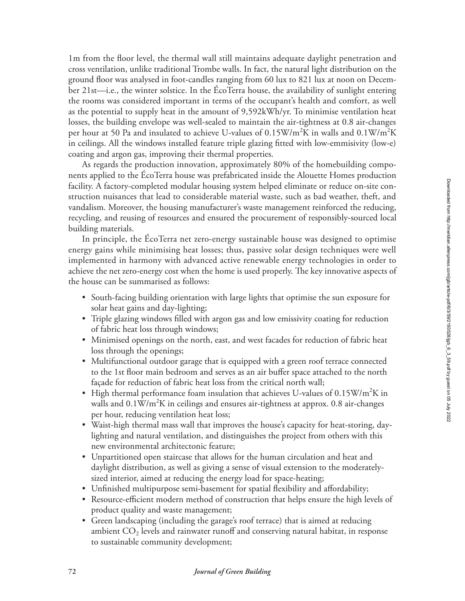1m from the floor level, the thermal wall still maintains adequate daylight penetration and cross ventilation, unlike traditional Trombe walls. In fact, the natural light distribution on the ground floor was analysed in foot-candles ranging from 60 lux to 821 lux at noon on December 21st—i.e., the winter solstice. In the ÉcoTerra house, the availability of sunlight entering the rooms was considered important in terms of the occupant's health and comfort, as well as the potential to supply heat in the amount of 9,592kWh/yr. To minimise ventilation heat losses, the building envelope was well-sealed to maintain the air-tightness at 0.8 air-changes per hour at 50 Pa and insulated to achieve U-values of 0.15W/m<sup>2</sup>K in walls and 0.1W/m<sup>2</sup>K in ceilings. All the windows installed feature triple glazing fitted with low-emmisivity (low-e) coating and argon gas, improving their thermal properties.

As regards the production innovation, approximately 80% of the homebuilding components applied to the ÉcoTerra house was prefabricated inside the Alouette Homes production facility. A factory-completed modular housing system helped eliminate or reduce on-site construction nuisances that lead to considerable material waste, such as bad weather, theft, and vandalism. Moreover, the housing manufacturer's waste management reinforced the reducing, recycling, and reusing of resources and ensured the procurement of responsibly-sourced local building materials.

In principle, the ÉcoTerra net zero-energy sustainable house was designed to optimise energy gains while minimising heat losses; thus, passive solar design techniques were well implemented in harmony with advanced active renewable energy technologies in order to achieve the net zero-energy cost when the home is used properly. The key innovative aspects of the house can be summarised as follows:

- South-facing building orientation with large lights that optimise the sun exposure for solar heat gains and day-lighting;
- Triple glazing windows filled with argon gas and low emissivity coating for reduction of fabric heat loss through windows;
- Minimised openings on the north, east, and west facades for reduction of fabric heat loss through the openings;
- Multifunctional outdoor garage that is equipped with a green roof terrace connected to the 1st floor main bedroom and serves as an air buffer space attached to the north façade for reduction of fabric heat loss from the critical north wall;
- High thermal performance foam insulation that achieves U-values of  $0.15\text{W/m}^2\text{K}$  in walls and  $0.1 \text{W/m}^2 \text{K}$  in ceilings and ensures air-tightness at approx. 0.8 air-changes per hour, reducing ventilation heat loss;
- Waist-high thermal mass wall that improves the house's capacity for heat-storing, daylighting and natural ventilation, and distinguishes the project from others with this new environmental architectonic feature;
- Unpartitioned open staircase that allows for the human circulation and heat and daylight distribution, as well as giving a sense of visual extension to the moderatelysized interior, aimed at reducing the energy load for space-heating;
- Unfinished multipurpose semi-basement for spatial flexibility and affordability;
- Resource-efficient modern method of construction that helps ensure the high levels of product quality and waste management;
- Green landscaping (including the garage's roof terrace) that is aimed at reducing ambient  $CO<sub>2</sub>$  levels and rainwater runoff and conserving natural habitat, in response to sustainable community development;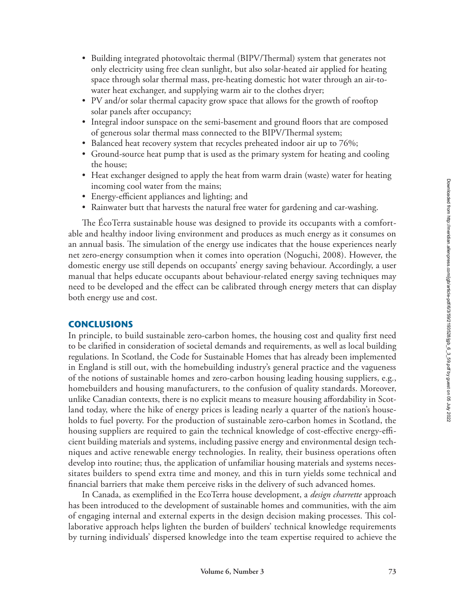- Building integrated photovoltaic thermal (BIPV/Thermal) system that generates not only electricity using free clean sunlight, but also solar-heated air applied for heating space through solar thermal mass, pre-heating domestic hot water through an air-towater heat exchanger, and supplying warm air to the clothes dryer;
- PV and/or solar thermal capacity grow space that allows for the growth of rooftop solar panels after occupancy;
- Integral indoor sunspace on the semi-basement and ground floors that are composed of generous solar thermal mass connected to the BIPV/Thermal system;
- Balanced heat recovery system that recycles preheated indoor air up to 76%;
- Ground-source heat pump that is used as the primary system for heating and cooling the house;
- Heat exchanger designed to apply the heat from warm drain (waste) water for heating incoming cool water from the mains;
- Energy-efficient appliances and lighting; and
- Rainwater butt that harvests the natural free water for gardening and car-washing.

The ÉcoTerra sustainable house was designed to provide its occupants with a comfortable and healthy indoor living environment and produces as much energy as it consumes on an annual basis. The simulation of the energy use indicates that the house experiences nearly net zero-energy consumption when it comes into operation (Noguchi, 2008). However, the domestic energy use still depends on occupants' energy saving behaviour. Accordingly, a user manual that helps educate occupants about behaviour-related energy saving techniques may need to be developed and the effect can be calibrated through energy meters that can display both energy use and cost.

## **CONCLUSIONS**

In principle, to build sustainable zero-carbon homes, the housing cost and quality first need to be clarified in consideration of societal demands and requirements, as well as local building regulations. In Scotland, the Code for Sustainable Homes that has already been implemented in England is still out, with the homebuilding industry's general practice and the vagueness of the notions of sustainable homes and zero-carbon housing leading housing suppliers, e.g., homebuilders and housing manufacturers, to the confusion of quality standards. Moreover, unlike Canadian contexts, there is no explicit means to measure housing affordability in Scotland today, where the hike of energy prices is leading nearly a quarter of the nation's households to fuel poverty. For the production of sustainable zero-carbon homes in Scotland, the housing suppliers are required to gain the technical knowledge of cost-effective energy-efficient building materials and systems, including passive energy and environmental design techniques and active renewable energy technologies. In reality, their business operations often develop into routine; thus, the application of unfamiliar housing materials and systems necessitates builders to spend extra time and money, and this in turn yields some technical and financial barriers that make them perceive risks in the delivery of such advanced homes.

In Canada, as exemplified in the EcoTerra house development, a *design charrette* approach has been introduced to the development of sustainable homes and communities, with the aim of engaging internal and external experts in the design decision making processes. This collaborative approach helps lighten the burden of builders' technical knowledge requirements by turning individuals' dispersed knowledge into the team expertise required to achieve the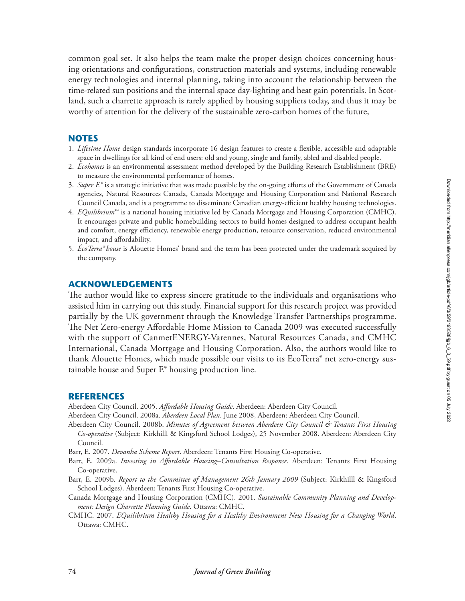common goal set. It also helps the team make the proper design choices concerning housing orientations and configurations, construction materials and systems, including renewable energy technologies and internal planning, taking into account the relationship between the time-related sun positions and the internal space day-lighting and heat gain potentials. In Scotland, such a charrette approach is rarely applied by housing suppliers today, and thus it may be worthy of attention for the delivery of the sustainable zero-carbon homes of the future,

## **NOTES**

- 1. *Lifetime Home* design standards incorporate 16 design features to create a flexible, accessible and adaptable space in dwellings for all kind of end users: old and young, single and family, abled and disabled people.
- 2. *Ecohomes* is an environmental assessment method developed by the Building Research Establishment (BRE) to measure the environmental performance of homes.
- 3. *Super E* ® is a strategic initiative that was made possible by the on-going efforts of the Government of Canada agencies, Natural Resources Canada, Canada Mortgage and Housing Corporation and National Research Council Canada, and is a programme to disseminate Canadian energy-efficient healthy housing technologies.
- 4. *EQuilibrium*™ is a national housing initiative led by Canada Mortgage and Housing Corporation (CMHC). It encourages private and public homebuilding sectors to build homes designed to address occupant health and comfort, energy efficiency, renewable energy production, resource conservation, reduced environmental impact, and affordability.
- 5. *ÉcoTerra® house* is Alouette Homes' brand and the term has been protected under the trademark acquired by the company.

## **ACKNOWLEDGEMENTS**

The author would like to express sincere gratitude to the individuals and organisations who assisted him in carrying out this study. Financial support for this research project was provided partially by the UK government through the Knowledge Transfer Partnerships programme. The Net Zero-energy Affordable Home Mission to Canada 2009 was executed successfully with the support of CanmetENERGY-Varennes, Natural Resources Canada, and CMHC International, Canada Mortgage and Housing Corporation. Also, the authors would like to thank Alouette Homes, which made possible our visits to its EcoTerra® net zero-energy sustainable house and Super E® housing production line.

#### **REFERENCES**

Aberdeen City Council. 2005. *Affordable Housing Guide*. Aberdeen: Aberdeen City Council.

Aberdeen City Council. 2008a. *Aberdeen Local Plan*. June 2008, Aberdeen: Aberdeen City Council.

- Aberdeen City Council. 2008b. *Minutes of Agreement between Aberdeen City Council & Tenants First Housing Co-operative* (Subject: Kirkhilll & Kingsford School Lodges), 25 November 2008. Aberdeen: Aberdeen City Council.
- Barr, E. 2007. *Devanha Scheme Report*. Aberdeen: Tenants First Housing Co-operative.
- Barr, E. 2009a. *Investing in Affordable Housing–Consultation Response*. Aberdeen: Tenants First Housing Co-operative.
- Barr, E. 2009b. *Report to the Committee of Management 26th January 2009* (Subject: Kirkhilll & Kingsford School Lodges). Aberdeen: Tenants First Housing Co-operative.
- Canada Mortgage and Housing Corporation (CMHC). 2001. *Sustainable Community Planning and Development: Design Charrette Planning Guide*. Ottawa: CMHC.
- CMHC. 2007. *EQuilibrium Healthy Housing for a Healthy Environment New Housing for a Changing World*. Ottawa: CMHC.